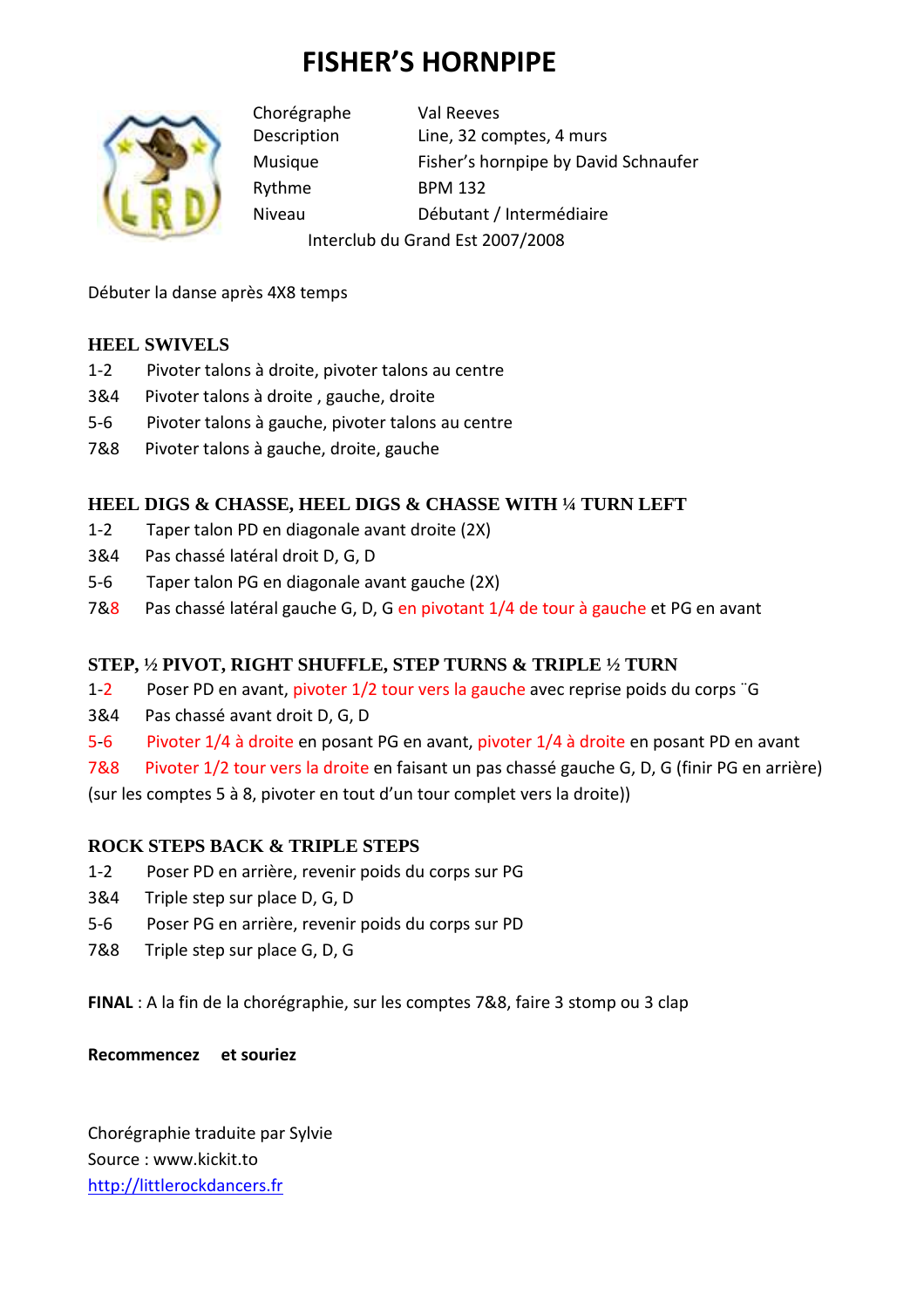# **FISHER'S HORNPIPE**



Chorégraphe Val Reeves Description Line, 32 comptes, 4 murs Musique Fisher's hornpipe by David Schnaufer Rythme BPM 132 Niveau Débutant / Intermédiaire

Interclub du Grand Est 2007/2008

Débuter la danse après 4X8 temps

## **HEEL SWIVELS**

- 1-2 Pivoter talons à droite, pivoter talons au centre
- 3&4 Pivoter talons à droite , gauche, droite
- 5-6 Pivoter talons à gauche, pivoter talons au centre
- 7&8 Pivoter talons à gauche, droite, gauche

### **HEEL DIGS & CHASSE, HEEL DIGS & CHASSE WITH ¼ TURN LEFT**

- 1-2 Taper talon PD en diagonale avant droite (2X)
- 3&4 Pas chassé latéral droit D, G, D
- 5-6 Taper talon PG en diagonale avant gauche (2X)
- 7&8 Pas chassé latéral gauche G, D, G en pivotant 1/4 de tour à gauche et PG en avant

### **STEP, ½ PIVOT, RIGHT SHUFFLE, STEP TURNS & TRIPLE ½ TURN**

- 1-2 Poser PD en avant, pivoter 1/2 tour vers la gauche avec reprise poids du corps ¨G
- 3&4 Pas chassé avant droit D, G, D
- 5-6 Pivoter 1/4 à droite en posant PG en avant, pivoter 1/4 à droite en posant PD en avant

7&8 Pivoter 1/2 tour vers la droite en faisant un pas chassé gauche G, D, G (finir PG en arrière) (sur les comptes 5 à 8, pivoter en tout d'un tour complet vers la droite))

### **ROCK STEPS BACK & TRIPLE STEPS**

- 1-2 Poser PD en arrière, revenir poids du corps sur PG
- 3&4 Triple step sur place D, G, D
- 5-6 Poser PG en arrière, revenir poids du corps sur PD
- 7&8 Triple step sur place G, D, G

**FINAL** : A la fin de la chorégraphie, sur les comptes 7&8, faire 3 stomp ou 3 clap

**Recommencez et souriez** 

Chorégraphie traduite par Sylvie Source : www.kickit.to http://littlerockdancers.fr